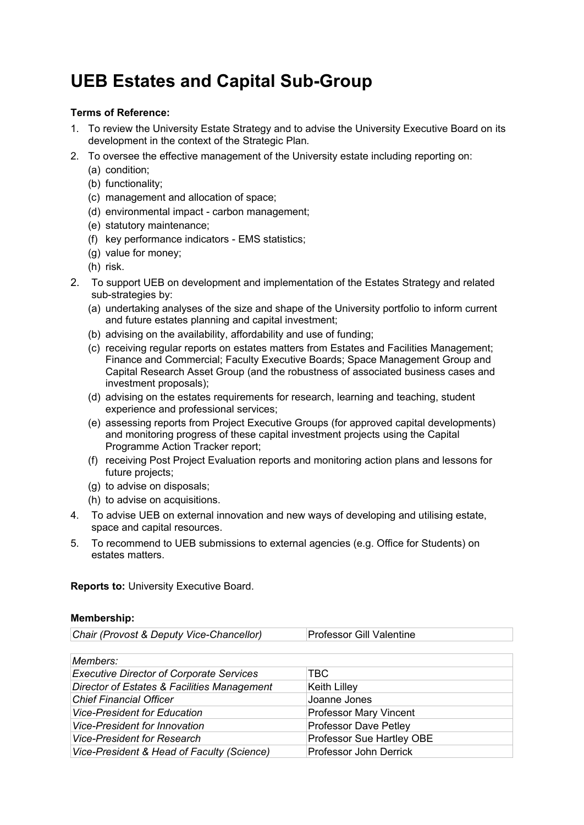## **UEB Estates and Capital Sub-Group**

## **Terms of Reference:**

- 1. To review the University Estate Strategy and to advise the University Executive Board on its development in the context of the Strategic Plan*.*
- 2. To oversee the effective management of the University estate including reporting on:
	- (a) condition;
	- (b) functionality;
	- (c) management and allocation of space;
	- (d) environmental impact carbon management;
	- (e) statutory maintenance;
	- (f) key performance indicators EMS statistics;
	- (g) value for money;
	- (h) risk.
- 2. To support UEB on development and implementation of the Estates Strategy and related sub-strategies by:
	- (a) undertaking analyses of the size and shape of the University portfolio to inform current and future estates planning and capital investment;
	- (b) advising on the availability, affordability and use of funding;
	- (c) receiving regular reports on estates matters from Estates and Facilities Management; Finance and Commercial; Faculty Executive Boards; Space Management Group and Capital Research Asset Group (and the robustness of associated business cases and investment proposals);
	- (d) advising on the estates requirements for research, learning and teaching, student experience and professional services;
	- (e) assessing reports from Project Executive Groups (for approved capital developments) and monitoring progress of these capital investment projects using the Capital Programme Action Tracker report;
	- (f) receiving Post Project Evaluation reports and monitoring action plans and lessons for future projects;
	- (g) to advise on disposals;
	- (h) to advise on acquisitions.
- 4. To advise UEB on external innovation and new ways of developing and utilising estate, space and capital resources.
- 5. To recommend to UEB submissions to external agencies (e.g. Office for Students) on estates matters.

**Reports to:** University Executive Board.

## **Membership:**

*Chair (Provost & Deputy Vice-Chancellor)* Professor Gill Valentine

| Members:                                        |                               |
|-------------------------------------------------|-------------------------------|
| <b>Executive Director of Corporate Services</b> | TBC.                          |
| Director of Estates & Facilities Management     | <b>Keith Lilley</b>           |
| <b>Chief Financial Officer</b>                  | Joanne Jones                  |
| <b>Vice-President for Education</b>             | <b>Professor Mary Vincent</b> |
| <b>Vice-President for Innovation</b>            | <b>Professor Dave Petley</b>  |
| <b>Vice-President for Research</b>              | Professor Sue Hartley OBE     |
| Vice-President & Head of Faculty (Science)      | <b>Professor John Derrick</b> |